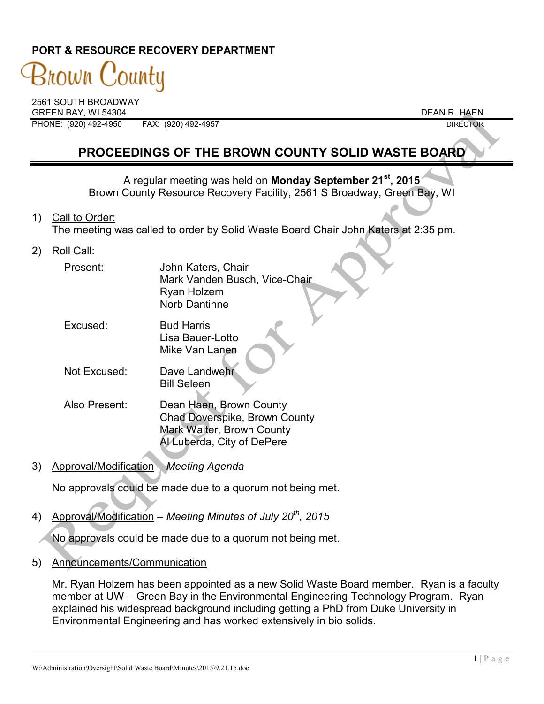### **PORT & RESOURCE RECOVERY DEPARTMENT**

# 3nown ountu

2561 SOUTH BROADWAY GREEN BAY, WI 54304 DEAN R. HAEN

PHONE: (920) 492-4950 FAX: (920) 492-4957 DIRECTOR

## **PROCEEDINGS OF THE BROWN COUNTY SOLID WASTE BOARD**

A regular meeting was held on **Monday September 21st, 2015** Brown County Resource Recovery Facility, 2561 S Broadway, Green Bay, WI

- 1) Call to Order: The meeting was called to order by Solid Waste Board Chair John Katers at 2:35 pm.
- 2) Roll Call:

| Present: | John Katers, Chair            |
|----------|-------------------------------|
|          | Mark Vanden Busch, Vice-Chair |
|          | Ryan Holzem                   |
|          | Norb Dantinne                 |

- Excused: Bud Harris Lisa Bauer-Lotto Mike Van Lanen
- Not Excused: Dave Landwehr Bill Seleen
- Also Present: Dean Haen, Brown County Chad Doverspike, Brown County Mark Walter, Brown County Al Luberda, City of DePere
- 3) Approval/Modification *Meeting Agenda*

No approvals could be made due to a quorum not being met.

4) Approval/Modification – *Meeting Minutes of July 20th , 2015*

No approvals could be made due to a quorum not being met.

5) Announcements/Communication

Mr. Ryan Holzem has been appointed as a new Solid Waste Board member. Ryan is a faculty member at UW – Green Bay in the Environmental Engineering Technology Program. Ryan explained his widespread background including getting a PhD from Duke University in Environmental Engineering and has worked extensively in bio solids.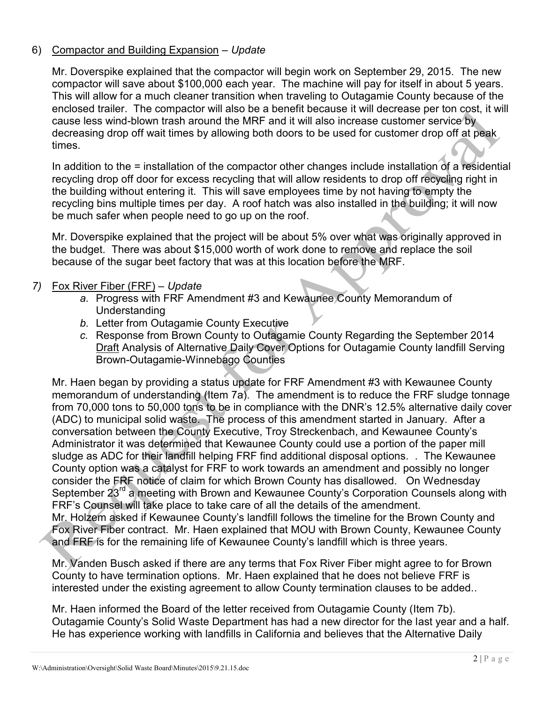#### 6) Compactor and Building Expansion – *Update*

Mr. Doverspike explained that the compactor will begin work on September 29, 2015. The new compactor will save about \$100,000 each year. The machine will pay for itself in about 5 years. This will allow for a much cleaner transition when traveling to Outagamie County because of the enclosed trailer. The compactor will also be a benefit because it will decrease per ton cost, it will cause less wind-blown trash around the MRF and it will also increase customer service by decreasing drop off wait times by allowing both doors to be used for customer drop off at peak times.

In addition to the = installation of the compactor other changes include installation of a residential recycling drop off door for excess recycling that will allow residents to drop off recycling right in the building without entering it. This will save employees time by not having to empty the recycling bins multiple times per day. A roof hatch was also installed in the building; it will now be much safer when people need to go up on the roof.

Mr. Doverspike explained that the project will be about 5% over what was originally approved in the budget. There was about \$15,000 worth of work done to remove and replace the soil because of the sugar beet factory that was at this location before the MRF.

#### *7)* Fox River Fiber (FRF) – *Update*

- *a.* Progress with FRF Amendment #3 and Kewaunee County Memorandum of Understanding
- *b.* Letter from Outagamie County Executive
- *c.* Response from Brown County to Outagamie County Regarding the September 2014 Draft Analysis of Alternative Daily Cover Options for Outagamie County landfill Serving Brown-Outagamie-Winnebago Counties

Mr. Haen began by providing a status update for FRF Amendment #3 with Kewaunee County memorandum of understanding (Item 7a). The amendment is to reduce the FRF sludge tonnage from 70,000 tons to 50,000 tons to be in compliance with the DNR's 12.5% alternative daily cover (ADC) to municipal solid waste. The process of this amendment started in January. After a conversation between the County Executive, Troy Streckenbach, and Kewaunee County's Administrator it was determined that Kewaunee County could use a portion of the paper mill sludge as ADC for their landfill helping FRF find additional disposal options. . The Kewaunee County option was a catalyst for FRF to work towards an amendment and possibly no longer consider the FRF notice of claim for which Brown County has disallowed. On Wednesday September 23<sup>rd</sup> a meeting with Brown and Kewaunee County's Corporation Counsels along with FRF's Counsel will take place to take care of all the details of the amendment. Mr. Holzem asked if Kewaunee County's landfill follows the timeline for the Brown County and Fox River Fiber contract. Mr. Haen explained that MOU with Brown County, Kewaunee County and FRF is for the remaining life of Kewaunee County's landfill which is three years.

Mr. Vanden Busch asked if there are any terms that Fox River Fiber might agree to for Brown County to have termination options. Mr. Haen explained that he does not believe FRF is interested under the existing agreement to allow County termination clauses to be added..

Mr. Haen informed the Board of the letter received from Outagamie County (Item 7b). Outagamie County's Solid Waste Department has had a new director for the last year and a half. He has experience working with landfills in California and believes that the Alternative Daily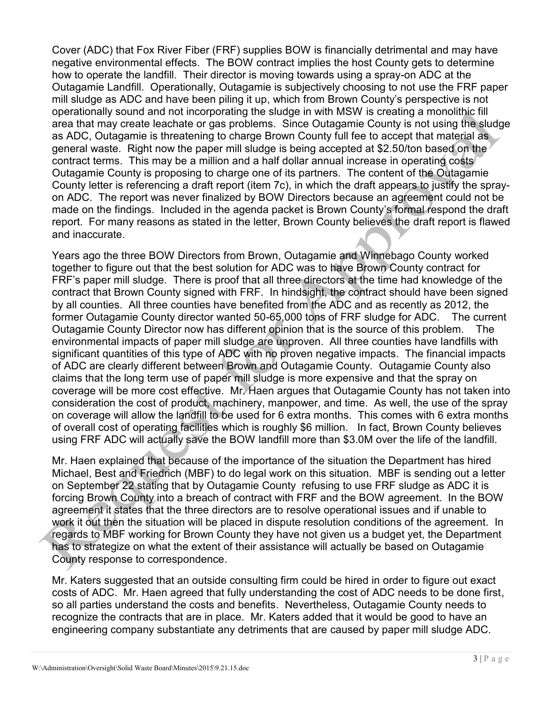Cover (ADC) that Fox River Fiber (FRF) supplies BOW is financially detrimental and may have negative environmental effects. The BOW contract implies the host County gets to determine how to operate the landfill. Their director is moving towards using a spray-on ADC at the Outagamie Landfill. Operationally, Outagamie is subjectively choosing to not use the FRF paper mill sludge as ADC and have been piling it up, which from Brown County's perspective is not operationally sound and not incorporating the sludge in with MSW is creating a monolithic fill area that may create leachate or gas problems. Since Outagamie County is not using the sludge as ADC, Outagamie is threatening to charge Brown County full fee to accept that material as general waste. Right now the paper mill sludge is being accepted at \$2.50/ton based on the contract terms. This may be a million and a half dollar annual increase in operating costs Outagamie County is proposing to charge one of its partners. The content of the Outagamie County letter is referencing a draft report (item 7c), in which the draft appears to justify the sprayon ADC. The report was never finalized by BOW Directors because an agreement could not be made on the findings. Included in the agenda packet is Brown County's formal respond the draft report. For many reasons as stated in the letter, Brown County believes the draft report is flawed and inaccurate.

Years ago the three BOW Directors from Brown, Outagamie and Winnebago County worked together to figure out that the best solution for ADC was to have Brown County contract for FRF's paper mill sludge. There is proof that all three directors at the time had knowledge of the contract that Brown County signed with FRF. In hindsight, the contract should have been signed by all counties. All three counties have benefited from the ADC and as recently as 2012, the former Outagamie County director wanted 50-65,000 tons of FRF sludge for ADC. The current Outagamie County Director now has different opinion that is the source of this problem. The environmental impacts of paper mill sludge are unproven. All three counties have landfills with significant quantities of this type of ADC with no proven negative impacts. The financial impacts of ADC are clearly different between Brown and Outagamie County. Outagamie County also claims that the long term use of paper mill sludge is more expensive and that the spray on coverage will be more cost effective. Mr. Haen argues that Outagamie County has not taken into consideration the cost of product, machinery, manpower, and time. As well, the use of the spray on coverage will allow the landfill to be used for 6 extra months. This comes with 6 extra months of overall cost of operating facilities which is roughly \$6 million. In fact, Brown County believes using FRF ADC will actually save the BOW landfill more than \$3.0M over the life of the landfill.

Mr. Haen explained that because of the importance of the situation the Department has hired Michael, Best and Friedrich (MBF) to do legal work on this situation. MBF is sending out a letter on September 22 stating that by Outagamie County refusing to use FRF sludge as ADC it is forcing Brown County into a breach of contract with FRF and the BOW agreement. In the BOW agreement it states that the three directors are to resolve operational issues and if unable to work it out then the situation will be placed in dispute resolution conditions of the agreement. In regards to MBF working for Brown County they have not given us a budget yet, the Department has to strategize on what the extent of their assistance will actually be based on Outagamie County response to correspondence.

Mr. Katers suggested that an outside consulting firm could be hired in order to figure out exact costs of ADC. Mr. Haen agreed that fully understanding the cost of ADC needs to be done first, so all parties understand the costs and benefits. Nevertheless, Outagamie County needs to recognize the contracts that are in place. Mr. Katers added that it would be good to have an engineering company substantiate any detriments that are caused by paper mill sludge ADC.